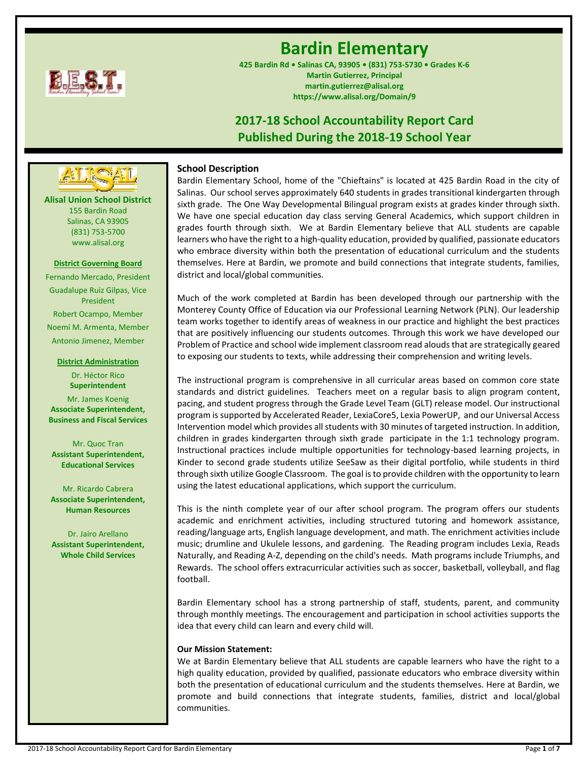

# **Bardin Elementary**

**425 Bardin Rd • Salinas CA, 93905 • (831) 753-5730 • Grades K-6 Martin Gutierrez, Principal martin.gutierrez@alisal.org https://www.alisal.org/Domain/9**

## **2017-18 School Accountability Report Card Published During the 2018-19 School Year**



Bardin Elementary School, home of the "Chieftains" is located at 425 Bardin Road in the city of Salinas. Our school serves approximately 640 students in grades transitional kindergarten through sixth grade. The One Way Developmental Bilingual program exists at grades kinder through sixth. We have one special education day class serving General Academics, which support children in grades fourth through sixth. We at Bardin Elementary believe that ALL students are capable learners who have the right to a high-quality education, provided by qualified, passionate educators who embrace diversity within both the presentation of educational curriculum and the students themselves. Here at Bardin, we promote and build connections that integrate students, families, district and local/global communities.

Much of the work completed at Bardin has been developed through our partnership with the Monterey County Office of Education via our Professional Learning Network (PLN). Our leadership team works together to identify areas of weakness in our practice and highlight the best practices that are positively influencing our students outcomes. Through this work we have developed our Problem of Practice and school wide implement classroom read alouds that are strategically geared to exposing our students to texts, while addressing their comprehension and writing levels.

The instructional program is comprehensive in all curricular areas based on common core state standards and district guidelines. Teachers meet on a regular basis to align program content, pacing, and student progress through the Grade Level Team (GLT) release model. Our instructional program is supported by Accelerated Reader, LexiaCore5, Lexia PowerUP, and our Universal Access Intervention model which provides all students with 30 minutes of targeted instruction. In addition, children in grades kindergarten through sixth grade participate in the 1:1 technology program. Instructional practices include multiple opportunities for technology-based learning projects, in Kinder to second grade students utilize SeeSaw as their digital portfolio, while students in third through sixth utilize Google Classroom. The goal is to provide children with the opportunity to learn using the latest educational applications, which support the curriculum.

This is the ninth complete year of our after school program. The program offers our students academic and enrichment activities, including structured tutoring and homework assistance, reading/language arts, English language development, and math. The enrichment activities include music; drumline and Ukulele lessons, and gardening. The Reading program includes Lexia, Reads Naturally, and Reading A-Z, depending on the child's needs. Math programs include Triumphs, and Rewards. The school offers extracurricular activities such as soccer, basketball, volleyball, and flag football.

Bardin Elementary school has a strong partnership of staff, students, parent, and community through monthly meetings. The encouragement and participation in school activities supports the idea that every child can learn and every child will.

## **Our Mission Statement:**

We at Bardin Elementary believe that ALL students are capable learners who have the right to a high quality education, provided by qualified, passionate educators who embrace diversity within both the presentation of educational curriculum and the students themselves. Here at Bardin, we promote and build connections that integrate students, families, district and local/global communities.

**Alisal Union School District** 155 Bardin Road Salinas, CA 93905 **---- ----**

> (831) 753-5700 www.alisal.org

**District Governing Board**

Fernando Mercado, President Guadalupe Ruiz Gilpas, Vice President Robert Ocampo, Member Noemí M. Armenta, Member Antonio Jimenez, Member

## **District Administration**

Dr. Héctor Rico **Superintendent** Mr. James Koenig **Associate Superintendent, Business and Fiscal Services**

Mr. Quoc Tran **Assistant Superintendent, Educational Services**

Mr. Ricardo Cabrera **Associate Superintendent, Human Resources**

Dr. Jairo Arellano **Assistant Superintendent, Whole Child Services**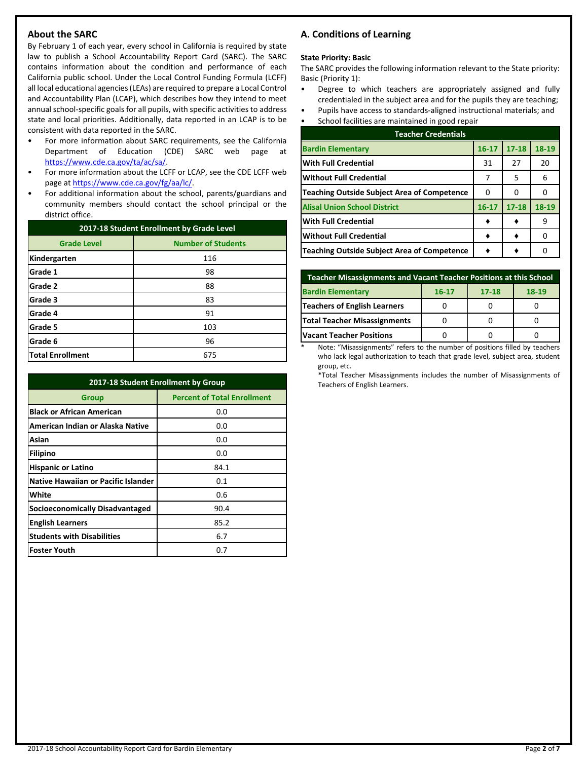## **About the SARC**

By February 1 of each year, every school in California is required by state law to publish a School Accountability Report Card (SARC). The SARC contains information about the condition and performance of each California public school. Under the Local Control Funding Formula (LCFF) all local educational agencies (LEAs) are required to prepare a Local Control and Accountability Plan (LCAP), which describes how they intend to meet annual school-specific goals for all pupils, with specific activities to address state and local priorities. Additionally, data reported in an LCAP is to be consistent with data reported in the SARC.

- For more information about SARC requirements, see the California Department of Education (CDE) SARC web page at [https://www.cde.ca.gov/ta/ac/sa/.](https://www.cde.ca.gov/ta/ac/sa/)
- For more information about the LCFF or LCAP, see the CDE LCFF web page at [https://www.cde.ca.gov/fg/aa/lc/.](https://www.cde.ca.gov/fg/aa/lc/)
- For additional information about the school, parents/guardians and community members should contact the school principal or the district office.

| 2017-18 Student Enrollment by Grade Level |                           |  |  |  |  |
|-------------------------------------------|---------------------------|--|--|--|--|
| <b>Grade Level</b>                        | <b>Number of Students</b> |  |  |  |  |
| Kindergarten                              | 116                       |  |  |  |  |
| Grade 1                                   | 98                        |  |  |  |  |
| Grade 2                                   | 88                        |  |  |  |  |
| Grade 3                                   | 83                        |  |  |  |  |
| Grade 4                                   | 91                        |  |  |  |  |
| Grade 5                                   | 103                       |  |  |  |  |
| Grade 6                                   | 96                        |  |  |  |  |
| <b>Total Enrollment</b>                   | 675                       |  |  |  |  |

| 2017-18 Student Enrollment by Group    |                                    |  |  |  |
|----------------------------------------|------------------------------------|--|--|--|
| <b>Group</b>                           | <b>Percent of Total Enrollment</b> |  |  |  |
| <b>Black or African American</b>       | 0.0                                |  |  |  |
| American Indian or Alaska Native       | 0.0                                |  |  |  |
| Asian                                  | 0.0                                |  |  |  |
| Filipino                               | 0.0                                |  |  |  |
| <b>Hispanic or Latino</b>              | 84.1                               |  |  |  |
| Native Hawaiian or Pacific Islander    | 0.1                                |  |  |  |
| White                                  | 0.6                                |  |  |  |
| <b>Socioeconomically Disadvantaged</b> | 90.4                               |  |  |  |
| <b>English Learners</b>                | 85.2                               |  |  |  |
| <b>Students with Disabilities</b>      | 6.7                                |  |  |  |
| <b>Foster Youth</b>                    | 0.7                                |  |  |  |

## **A. Conditions of Learning**

#### **State Priority: Basic**

The SARC provides the following information relevant to the State priority: Basic (Priority 1):

- Degree to which teachers are appropriately assigned and fully credentialed in the subject area and for the pupils they are teaching;
- Pupils have access to standards-aligned instructional materials; and
- School facilities are maintained in good repair

| <b>Teacher Credentials</b>                         |           |           |       |  |  |  |
|----------------------------------------------------|-----------|-----------|-------|--|--|--|
| <b>Bardin Elementary</b>                           | $16 - 17$ | $17 - 18$ | 18-19 |  |  |  |
| <b>With Full Credential</b>                        | 31        | 27        | 20    |  |  |  |
| <b>Without Full Credential</b>                     | 7         | 5         | 6     |  |  |  |
| <b>Teaching Outside Subject Area of Competence</b> | O         | 0         |       |  |  |  |
| <b>Alisal Union School District</b>                | $16 - 17$ | $17 - 18$ | 18-19 |  |  |  |
| <b>With Full Credential</b>                        |           |           | 9     |  |  |  |
| <b>Without Full Credential</b>                     |           |           |       |  |  |  |
| <b>Teaching Outside Subject Area of Competence</b> |           |           |       |  |  |  |

| <b>Teacher Misassignments and Vacant Teacher Positions at this School</b> |  |  |  |  |  |  |  |
|---------------------------------------------------------------------------|--|--|--|--|--|--|--|
| <b>Bardin Elementary</b><br>18-19<br>$17 - 18$<br>$16 - 17$               |  |  |  |  |  |  |  |
| Teachers of English Learners                                              |  |  |  |  |  |  |  |
| Total Teacher Misassignments                                              |  |  |  |  |  |  |  |
| <b>Vacant Teacher Positions</b>                                           |  |  |  |  |  |  |  |

Note: "Misassignments" refers to the number of positions filled by teachers who lack legal authorization to teach that grade level, subject area, student group, etc.

\*Total Teacher Misassignments includes the number of Misassignments of Teachers of English Learners.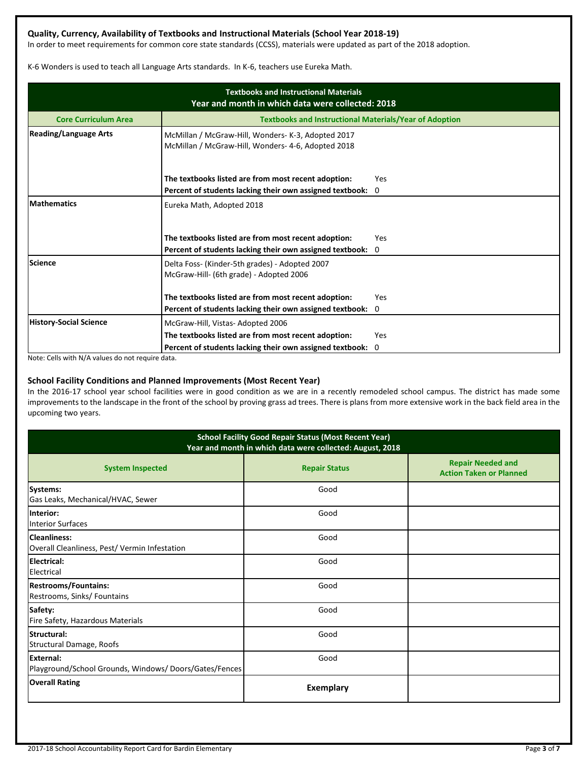## **Quality, Currency, Availability of Textbooks and Instructional Materials (School Year 2018-19)**

In order to meet requirements for common core state standards (CCSS), materials were updated as part of the 2018 adoption.

K-6 Wonders is used to teach all Language Arts standards. In K-6, teachers use Eureka Math.

| <b>Textbooks and Instructional Materials</b><br>Year and month in which data were collected: 2018 |                                                                                                          |             |  |  |  |
|---------------------------------------------------------------------------------------------------|----------------------------------------------------------------------------------------------------------|-------------|--|--|--|
| <b>Core Curriculum Area</b>                                                                       | <b>Textbooks and Instructional Materials/Year of Adoption</b>                                            |             |  |  |  |
| <b>Reading/Language Arts</b>                                                                      | McMillan / McGraw-Hill, Wonders- K-3, Adopted 2017<br>McMillan / McGraw-Hill, Wonders- 4-6, Adopted 2018 |             |  |  |  |
|                                                                                                   | The textbooks listed are from most recent adoption:                                                      | Yes         |  |  |  |
|                                                                                                   | Percent of students lacking their own assigned textbook:                                                 | $\mathbf 0$ |  |  |  |
| <b>Mathematics</b>                                                                                | Eureka Math, Adopted 2018<br>The textbooks listed are from most recent adoption:                         | Yes         |  |  |  |
|                                                                                                   | Percent of students lacking their own assigned textbook:                                                 | $\Omega$    |  |  |  |
| <b>Science</b>                                                                                    | Delta Foss- (Kinder-5th grades) - Adopted 2007<br>McGraw-Hill- (6th grade) - Adopted 2006                |             |  |  |  |
|                                                                                                   | The textbooks listed are from most recent adoption:                                                      | Yes         |  |  |  |
|                                                                                                   | Percent of students lacking their own assigned textbook: 0                                               |             |  |  |  |
| <b>History-Social Science</b>                                                                     | McGraw-Hill, Vistas-Adopted 2006                                                                         |             |  |  |  |
|                                                                                                   | The textbooks listed are from most recent adoption:                                                      | Yes         |  |  |  |
|                                                                                                   | Percent of students lacking their own assigned textbook:                                                 | 0           |  |  |  |

Note: Cells with N/A values do not require data.

#### **School Facility Conditions and Planned Improvements (Most Recent Year)**

In the 2016-17 school year school facilities were in good condition as we are in a recently remodeled school campus. The district has made some improvements to the landscape in the front of the school by proving grass ad trees. There is plans from more extensive work in the back field area in the upcoming two years.

| <b>School Facility Good Repair Status (Most Recent Year)</b><br>Year and month in which data were collected: August, 2018 |                      |                                                            |  |  |  |
|---------------------------------------------------------------------------------------------------------------------------|----------------------|------------------------------------------------------------|--|--|--|
| <b>System Inspected</b>                                                                                                   | <b>Repair Status</b> | <b>Repair Needed and</b><br><b>Action Taken or Planned</b> |  |  |  |
| <b>Systems:</b><br>Gas Leaks, Mechanical/HVAC, Sewer                                                                      | Good                 |                                                            |  |  |  |
| Interior:<br><b>Interior Surfaces</b>                                                                                     | Good                 |                                                            |  |  |  |
| <b>Cleanliness:</b><br>Overall Cleanliness, Pest/ Vermin Infestation                                                      | Good                 |                                                            |  |  |  |
| Electrical:<br>Electrical                                                                                                 | Good                 |                                                            |  |  |  |
| <b>Restrooms/Fountains:</b><br>Restrooms, Sinks/ Fountains                                                                | Good                 |                                                            |  |  |  |
| Safety:<br>Fire Safety, Hazardous Materials                                                                               | Good                 |                                                            |  |  |  |
| Structural:<br>Structural Damage, Roofs                                                                                   | Good                 |                                                            |  |  |  |
| External:<br>Playground/School Grounds, Windows/Doors/Gates/Fences                                                        | Good                 |                                                            |  |  |  |
| <b>Overall Rating</b>                                                                                                     | <b>Exemplary</b>     |                                                            |  |  |  |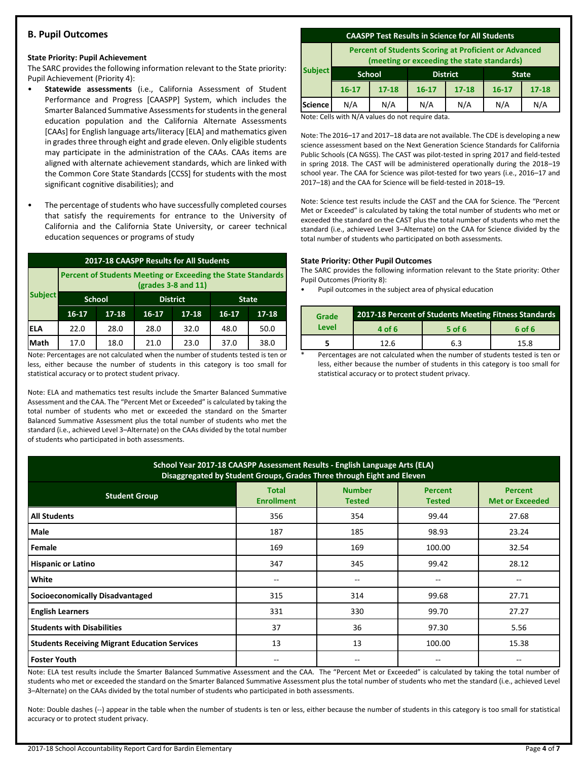## **B. Pupil Outcomes**

#### **State Priority: Pupil Achievement**

The SARC provides the following information relevant to the State priority: Pupil Achievement (Priority 4):

- **Statewide assessments** (i.e., California Assessment of Student Performance and Progress [CAASPP] System, which includes the Smarter Balanced Summative Assessments for students in the general education population and the California Alternate Assessments [CAAs] for English language arts/literacy [ELA] and mathematics given in grades three through eight and grade eleven. Only eligible students may participate in the administration of the CAAs. CAAs items are aligned with alternate achievement standards, which are linked with the Common Core State Standards [CCSS] for students with the most significant cognitive disabilities); and
- The percentage of students who have successfully completed courses that satisfy the requirements for entrance to the University of California and the California State University, or career technical education sequences or programs of study

| 2017-18 CAASPP Results for All Students |                                                                                       |       |                 |           |              |           |
|-----------------------------------------|---------------------------------------------------------------------------------------|-------|-----------------|-----------|--------------|-----------|
|                                         | Percent of Students Meeting or Exceeding the State Standards<br>$(grades 3-8 and 11)$ |       |                 |           |              |           |
| <b>Subject</b>                          | <b>School</b>                                                                         |       | <b>District</b> |           | <b>State</b> |           |
|                                         | $16 - 17$                                                                             | 17-18 | $16 - 17$       | $17 - 18$ | $16-17$      | $17 - 18$ |
| IELA                                    | 22.0                                                                                  | 28.0  | 28.0            | 32.0      | 48.0         | 50.0      |
| Math                                    | 17.0                                                                                  | 18.0  | 21.0            | 23.0      | 37.0         | 38.0      |

Note: Percentages are not calculated when the number of students tested is ten or less, either because the number of students in this category is too small for statistical accuracy or to protect student privacy.

Note: ELA and mathematics test results include the Smarter Balanced Summative Assessment and the CAA. The "Percent Met or Exceeded" is calculated by taking the total number of students who met or exceeded the standard on the Smarter Balanced Summative Assessment plus the total number of students who met the standard (i.e., achieved Level 3–Alternate) on the CAAs divided by the total number of students who participated in both assessments.

#### **CAASPP Test Results in Science for All Students**

**Percent of Students Scoring at Proficient or Advanced (meeting or exceeding the state standards)**

|                | lineeting of exceeding the state standards, |               |                 |           |              |           |
|----------------|---------------------------------------------|---------------|-----------------|-----------|--------------|-----------|
| <b>Subject</b> | <b>School</b>                               |               | <b>District</b> |           | <b>State</b> |           |
|                | $16 - 17$                                   | $17 - 18$     | $16 - 17$       | $17 - 18$ | $16 - 17$    | $17 - 18$ |
| <b>Science</b> | N/A                                         | N/A           | N/A             | N/A       | N/A          | N/A       |
|                | .                                           | $\sim$ $\sim$ |                 |           |              |           |

Note: Cells with N/A values do not require data.

Note: The 2016–17 and 2017–18 data are not available. The CDE is developing a new science assessment based on the Next Generation Science Standards for California Public Schools (CA NGSS). The CAST was pilot-tested in spring 2017 and field-tested in spring 2018. The CAST will be administered operationally during the 2018–19 school year. The CAA for Science was pilot-tested for two years (i.e., 2016–17 and 2017–18) and the CAA for Science will be field-tested in 2018–19.

Note: Science test results include the CAST and the CAA for Science. The "Percent Met or Exceeded" is calculated by taking the total number of students who met or exceeded the standard on the CAST plus the total number of students who met the standard (i.e., achieved Level 3–Alternate) on the CAA for Science divided by the total number of students who participated on both assessments.

#### **State Priority: Other Pupil Outcomes**

The SARC provides the following information relevant to the State priority: Other Pupil Outcomes (Priority 8):

Pupil outcomes in the subject area of physical education

| Grade | 2017-18 Percent of Students Meeting Fitness Standards |        |        |  |  |  |
|-------|-------------------------------------------------------|--------|--------|--|--|--|
| Level | 4 of 6                                                | 5 of 6 | 6 of 6 |  |  |  |
|       | 12 R                                                  | 6.3    | 15.8   |  |  |  |

Percentages are not calculated when the number of students tested is ten or less, either because the number of students in this category is too small for statistical accuracy or to protect student privacy.

| School Year 2017-18 CAASPP Assessment Results - English Language Arts (ELA)<br>Disaggregated by Student Groups, Grades Three through Eight and Eleven                      |     |     |        |       |  |  |  |
|----------------------------------------------------------------------------------------------------------------------------------------------------------------------------|-----|-----|--------|-------|--|--|--|
| <b>Number</b><br><b>Total</b><br><b>Percent</b><br><b>Percent</b><br><b>Student Group</b><br><b>Enrollment</b><br><b>Met or Exceeded</b><br><b>Tested</b><br><b>Tested</b> |     |     |        |       |  |  |  |
| <b>All Students</b>                                                                                                                                                        | 356 | 354 | 99.44  | 27.68 |  |  |  |
| Male                                                                                                                                                                       | 187 | 185 | 98.93  | 23.24 |  |  |  |
| Female                                                                                                                                                                     | 169 | 169 | 100.00 | 32.54 |  |  |  |
| <b>Hispanic or Latino</b>                                                                                                                                                  | 347 | 345 | 99.42  | 28.12 |  |  |  |
| White                                                                                                                                                                      | --  | --  | --     |       |  |  |  |
| <b>Socioeconomically Disadvantaged</b>                                                                                                                                     | 315 | 314 | 99.68  | 27.71 |  |  |  |
| <b>English Learners</b>                                                                                                                                                    | 331 | 330 | 99.70  | 27.27 |  |  |  |
| <b>Students with Disabilities</b>                                                                                                                                          | 37  | 36  | 97.30  | 5.56  |  |  |  |
| <b>Students Receiving Migrant Education Services</b>                                                                                                                       | 13  | 13  | 100.00 | 15.38 |  |  |  |
| <b>Foster Youth</b>                                                                                                                                                        | --  | --  | $-$    | --    |  |  |  |

Note: ELA test results include the Smarter Balanced Summative Assessment and the CAA. The "Percent Met or Exceeded" is calculated by taking the total number of students who met or exceeded the standard on the Smarter Balanced Summative Assessment plus the total number of students who met the standard (i.e., achieved Level 3–Alternate) on the CAAs divided by the total number of students who participated in both assessments.

Note: Double dashes (--) appear in the table when the number of students is ten or less, either because the number of students in this category is too small for statistical accuracy or to protect student privacy.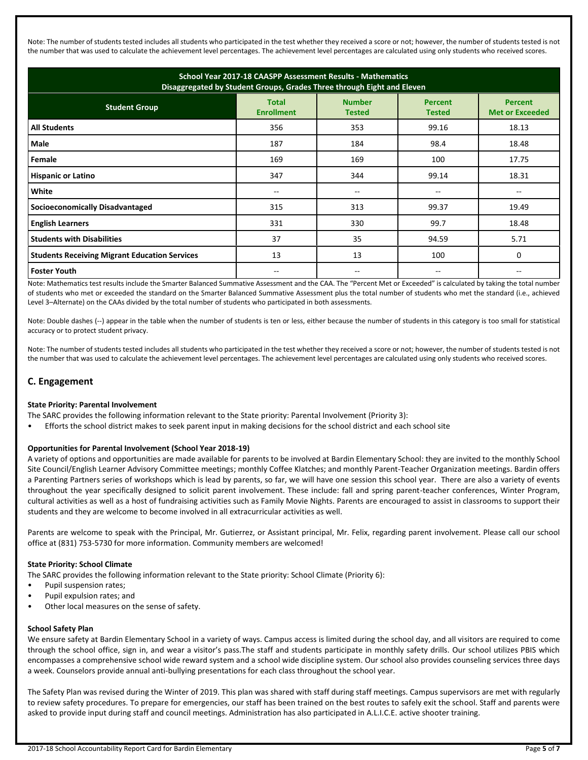Note: The number of students tested includes all students who participated in the test whether they received a score or not; however, the number of students tested is not the number that was used to calculate the achievement level percentages. The achievement level percentages are calculated using only students who received scores.

| School Year 2017-18 CAASPP Assessment Results - Mathematics<br>Disaggregated by Student Groups, Grades Three through Eight and Eleven |                                   |                                |                                 |                                          |  |
|---------------------------------------------------------------------------------------------------------------------------------------|-----------------------------------|--------------------------------|---------------------------------|------------------------------------------|--|
| <b>Student Group</b>                                                                                                                  | <b>Total</b><br><b>Enrollment</b> | <b>Number</b><br><b>Tested</b> | <b>Percent</b><br><b>Tested</b> | <b>Percent</b><br><b>Met or Exceeded</b> |  |
| <b>All Students</b>                                                                                                                   | 356                               | 353                            | 99.16                           | 18.13                                    |  |
| Male                                                                                                                                  | 187                               | 184                            | 98.4                            | 18.48                                    |  |
| Female                                                                                                                                | 169                               | 169                            | 100                             | 17.75                                    |  |
| <b>Hispanic or Latino</b>                                                                                                             | 347                               | 344                            | 99.14                           | 18.31                                    |  |
| White                                                                                                                                 | --                                | $\overline{\phantom{m}}$       |                                 |                                          |  |
| <b>Socioeconomically Disadvantaged</b>                                                                                                | 315                               | 313                            | 99.37                           | 19.49                                    |  |
| <b>English Learners</b>                                                                                                               | 331                               | 330                            | 99.7                            | 18.48                                    |  |
| <b>Students with Disabilities</b>                                                                                                     | 37                                | 35                             | 94.59                           | 5.71                                     |  |
| <b>Students Receiving Migrant Education Services</b>                                                                                  | 13                                | 13                             | 100                             | $\Omega$                                 |  |
| <b>Foster Youth</b>                                                                                                                   |                                   |                                | --                              |                                          |  |

Note: Mathematics test results include the Smarter Balanced Summative Assessment and the CAA. The "Percent Met or Exceeded" is calculated by taking the total number of students who met or exceeded the standard on the Smarter Balanced Summative Assessment plus the total number of students who met the standard (i.e., achieved Level 3–Alternate) on the CAAs divided by the total number of students who participated in both assessments.

Note: Double dashes (--) appear in the table when the number of students is ten or less, either because the number of students in this category is too small for statistical accuracy or to protect student privacy.

Note: The number of students tested includes all students who participated in the test whether they received a score or not; however, the number of students tested is not the number that was used to calculate the achievement level percentages. The achievement level percentages are calculated using only students who received scores.

## **C. Engagement**

#### **State Priority: Parental Involvement**

The SARC provides the following information relevant to the State priority: Parental Involvement (Priority 3):

• Efforts the school district makes to seek parent input in making decisions for the school district and each school site

#### **Opportunities for Parental Involvement (School Year 2018-19)**

A variety of options and opportunities are made available for parents to be involved at Bardin Elementary School: they are invited to the monthly School Site Council/English Learner Advisory Committee meetings; monthly Coffee Klatches; and monthly Parent-Teacher Organization meetings. Bardin offers a Parenting Partners series of workshops which is lead by parents, so far, we will have one session this school year. There are also a variety of events throughout the year specifically designed to solicit parent involvement. These include: fall and spring parent-teacher conferences, Winter Program, cultural activities as well as a host of fundraising activities such as Family Movie Nights. Parents are encouraged to assist in classrooms to support their students and they are welcome to become involved in all extracurricular activities as well.

Parents are welcome to speak with the Principal, Mr. Gutierrez, or Assistant principal, Mr. Felix, regarding parent involvement. Please call our school office at (831) 753-5730 for more information. Community members are welcomed!

#### **State Priority: School Climate**

The SARC provides the following information relevant to the State priority: School Climate (Priority 6):

- Pupil suspension rates;
- Pupil expulsion rates; and
- Other local measures on the sense of safety.

#### **School Safety Plan**

We ensure safety at Bardin Elementary School in a variety of ways. Campus access is limited during the school day, and all visitors are required to come through the school office, sign in, and wear a visitor's pass.The staff and students participate in monthly safety drills. Our school utilizes PBIS which encompasses a comprehensive school wide reward system and a school wide discipline system. Our school also provides counseling services three days a week. Counselors provide annual anti-bullying presentations for each class throughout the school year.

The Safety Plan was revised during the Winter of 2019. This plan was shared with staff during staff meetings. Campus supervisors are met with regularly to review safety procedures. To prepare for emergencies, our staff has been trained on the best routes to safely exit the school. Staff and parents were asked to provide input during staff and council meetings. Administration has also participated in A.L.I.C.E. active shooter training.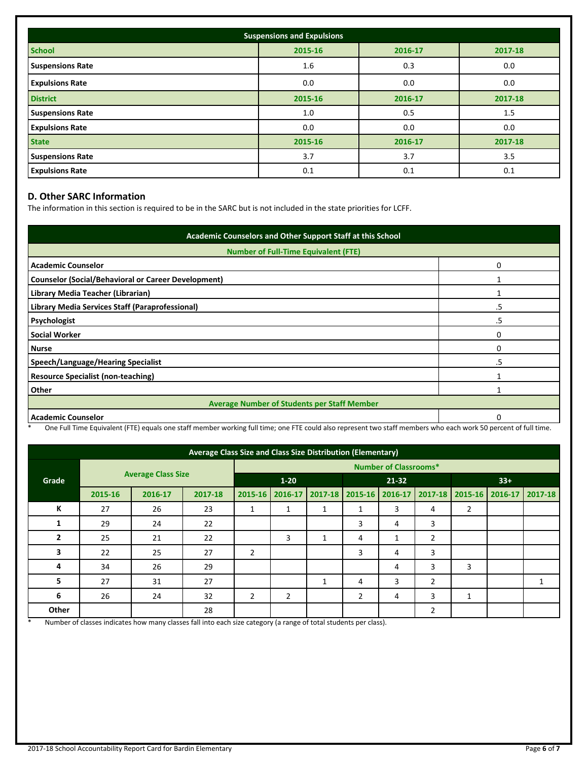| <b>Suspensions and Expulsions</b> |                               |         |         |  |  |  |  |
|-----------------------------------|-------------------------------|---------|---------|--|--|--|--|
| <b>School</b>                     | 2015-16<br>2016-17<br>2017-18 |         |         |  |  |  |  |
| <b>Suspensions Rate</b>           | 1.6                           | 0.3     | 0.0     |  |  |  |  |
| <b>Expulsions Rate</b>            | 0.0                           | 0.0     | 0.0     |  |  |  |  |
| <b>District</b>                   | 2015-16                       | 2016-17 | 2017-18 |  |  |  |  |
| <b>Suspensions Rate</b>           | 1.0                           | 0.5     | 1.5     |  |  |  |  |
| <b>Expulsions Rate</b>            | 0.0                           | 0.0     | 0.0     |  |  |  |  |
| <b>State</b>                      | 2015-16                       | 2016-17 | 2017-18 |  |  |  |  |
| <b>Suspensions Rate</b>           | 3.7                           | 3.7     | 3.5     |  |  |  |  |
| <b>Expulsions Rate</b>            | 0.1                           | 0.1     | 0.1     |  |  |  |  |

## **D. Other SARC Information**

The information in this section is required to be in the SARC but is not included in the state priorities for LCFF.

| Academic Counselors and Other Support Staff at this School |    |  |  |  |
|------------------------------------------------------------|----|--|--|--|
| <b>Number of Full-Time Equivalent (FTE)</b>                |    |  |  |  |
| <b>Academic Counselor</b>                                  | 0  |  |  |  |
| <b>Counselor (Social/Behavioral or Career Development)</b> |    |  |  |  |
| Library Media Teacher (Librarian)                          |    |  |  |  |
| Library Media Services Staff (Paraprofessional)            | .5 |  |  |  |
| Psychologist                                               | .5 |  |  |  |
| <b>Social Worker</b>                                       | 0  |  |  |  |
| <b>Nurse</b>                                               | ი  |  |  |  |
| Speech/Language/Hearing Specialist                         | .5 |  |  |  |
| <b>Resource Specialist (non-teaching)</b>                  |    |  |  |  |
| Other                                                      |    |  |  |  |
| <b>Average Number of Students per Staff Member</b>         |    |  |  |  |
| <b>Academic Counselor</b>                                  |    |  |  |  |

\* One Full Time Equivalent (FTE) equals one staff member working full time; one FTE could also represent two staff members who each work 50 percent of full time.

| Average Class Size and Class Size Distribution (Elementary) |                           |         |         |                              |                |             |                 |   |                |       |                                 |   |
|-------------------------------------------------------------|---------------------------|---------|---------|------------------------------|----------------|-------------|-----------------|---|----------------|-------|---------------------------------|---|
| Grade                                                       | <b>Average Class Size</b> |         |         | <b>Number of Classrooms*</b> |                |             |                 |   |                |       |                                 |   |
|                                                             |                           |         |         | $1 - 20$                     |                |             | $21 - 32$       |   |                | $33+$ |                                 |   |
|                                                             | 2015-16                   | 2016-17 | 2017-18 | 2015-16                      | 2016-17        | $2017 - 18$ | 2015-16 2016-17 |   |                |       | 2017-18 2015-16 2016-17 2017-18 |   |
| К                                                           | 27                        | 26      | 23      | 1                            | 1              | 1           | 1               | 3 | 4              | 2     |                                 |   |
| 1                                                           | 29                        | 24      | 22      |                              |                |             | 3               | 4 | 3              |       |                                 |   |
| 2                                                           | 25                        | 21      | 22      |                              | 3              | 1           | 4               | 1 | $\overline{2}$ |       |                                 |   |
| 3                                                           | 22                        | 25      | 27      | $\overline{2}$               |                |             | 3               | 4 | 3              |       |                                 |   |
| 4                                                           | 34                        | 26      | 29      |                              |                |             |                 | 4 | 3              | 3     |                                 |   |
| 5                                                           | 27                        | 31      | 27      |                              |                | 1           | 4               | 3 | $\overline{2}$ |       |                                 | 1 |
| 6                                                           | 26                        | 24      | 32      | $\overline{2}$               | $\overline{2}$ |             | $\overline{2}$  | 4 | 3              | 1     |                                 |   |
| Other                                                       |                           |         | 28      |                              |                |             |                 |   | $\overline{2}$ |       |                                 |   |

\* Number of classes indicates how many classes fall into each size category (a range of total students per class).